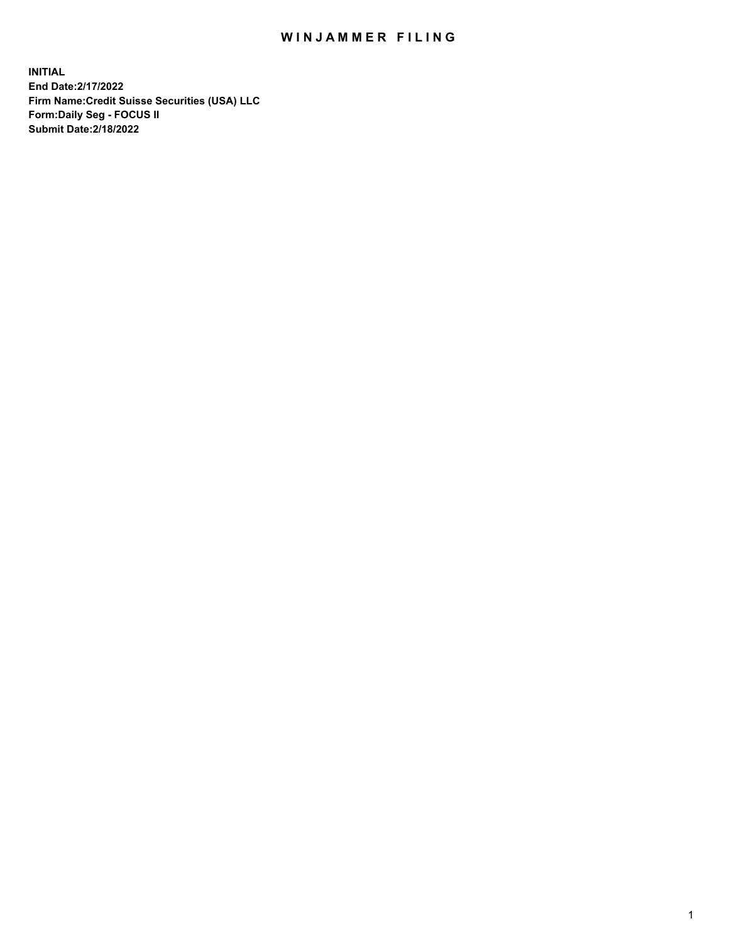## WIN JAMMER FILING

**INITIAL End Date:2/17/2022 Firm Name:Credit Suisse Securities (USA) LLC Form:Daily Seg - FOCUS II Submit Date:2/18/2022**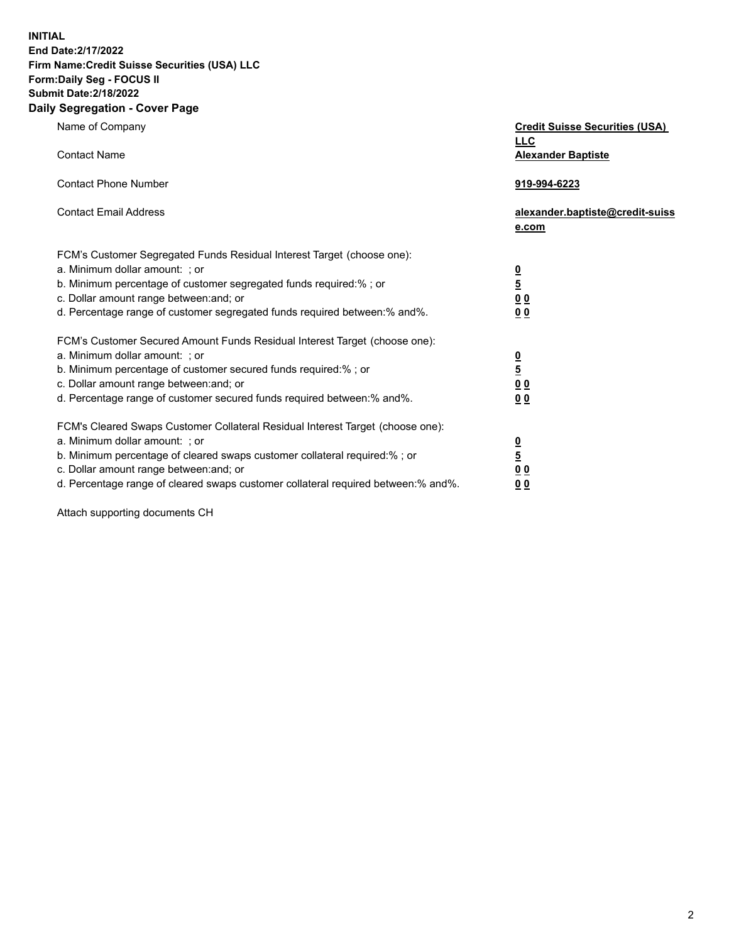**INITIAL End Date:2/17/2022** 

## **Firm Name:Credit Suisse Securities (USA) LLC Form:Daily Seg - FOCUS II Submit Date:2/18/2022**

## **Daily Segregation - Cover Page**

| Name of Company                                                                                                                                                                                                                                                                                                                | <b>Credit Suisse Securities (USA)</b><br><b>LLC</b>           |
|--------------------------------------------------------------------------------------------------------------------------------------------------------------------------------------------------------------------------------------------------------------------------------------------------------------------------------|---------------------------------------------------------------|
| <b>Contact Name</b>                                                                                                                                                                                                                                                                                                            | <b>Alexander Baptiste</b>                                     |
| <b>Contact Phone Number</b>                                                                                                                                                                                                                                                                                                    | 919-994-6223                                                  |
| <b>Contact Email Address</b>                                                                                                                                                                                                                                                                                                   | alexander.baptiste@credit-suiss<br>e.com                      |
| FCM's Customer Segregated Funds Residual Interest Target (choose one):<br>a. Minimum dollar amount: ; or<br>b. Minimum percentage of customer segregated funds required:% ; or<br>c. Dollar amount range between: and; or<br>d. Percentage range of customer segregated funds required between:% and%.                         | $\frac{0}{5}$<br>$\underline{0}$ $\underline{0}$<br><u>00</u> |
| FCM's Customer Secured Amount Funds Residual Interest Target (choose one):<br>a. Minimum dollar amount: ; or<br>b. Minimum percentage of customer secured funds required:% ; or<br>c. Dollar amount range between: and; or<br>d. Percentage range of customer secured funds required between:% and%.                           | $\frac{0}{5}$<br>0 <sub>0</sub><br>0 <sub>0</sub>             |
| FCM's Cleared Swaps Customer Collateral Residual Interest Target (choose one):<br>a. Minimum dollar amount: ; or<br>b. Minimum percentage of cleared swaps customer collateral required:% ; or<br>c. Dollar amount range between: and; or<br>d. Percentage range of cleared swaps customer collateral required between:% and%. | $\frac{0}{5}$<br>0 <sub>0</sub><br>0 <sub>0</sub>             |

Attach supporting documents CH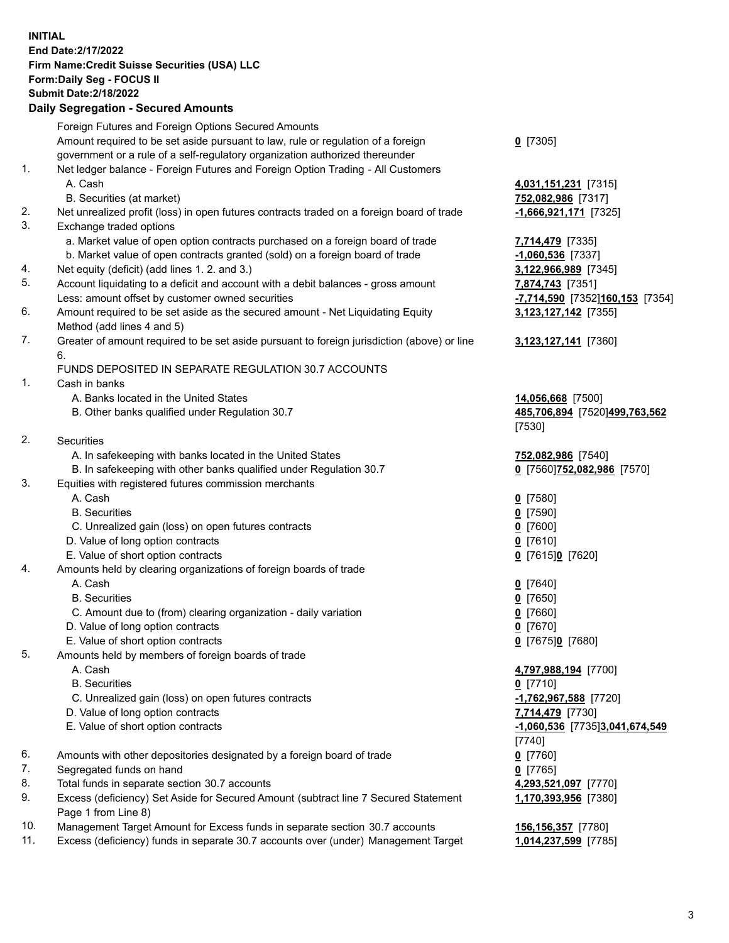**INITIAL End Date:2/17/2022 Firm Name:Credit Suisse Securities (USA) LLC Form:Daily Seg - FOCUS II Submit Date:2/18/2022** 

## **Daily Segregation - Secured Amounts**

|          | Foreign Futures and Foreign Options Secured Amounts                                               |                                 |
|----------|---------------------------------------------------------------------------------------------------|---------------------------------|
|          | Amount required to be set aside pursuant to law, rule or regulation of a foreign                  | $0$ [7305]                      |
|          | government or a rule of a self-regulatory organization authorized thereunder                      |                                 |
| 1.       | Net ledger balance - Foreign Futures and Foreign Option Trading - All Customers                   |                                 |
|          | A. Cash                                                                                           | 4,031,151,231 [7315]            |
|          | B. Securities (at market)                                                                         | 752,082,986 [7317]              |
| 2.       | Net unrealized profit (loss) in open futures contracts traded on a foreign board of trade         | $-1,666,921,171$ [7325]         |
| 3.       | Exchange traded options                                                                           |                                 |
|          | a. Market value of open option contracts purchased on a foreign board of trade                    | 7,714,479 [7335]                |
|          | b. Market value of open contracts granted (sold) on a foreign board of trade                      | $-1,060,536$ [7337]             |
| 4.       | Net equity (deficit) (add lines 1.2. and 3.)                                                      | 3,122,966,989 [7345]            |
| 5.       | Account liquidating to a deficit and account with a debit balances - gross amount                 | 7,874,743 [7351]                |
| 6.       | Less: amount offset by customer owned securities                                                  | -7,714,590 [7352]160,153 [7354] |
|          | Amount required to be set aside as the secured amount - Net Liquidating Equity                    | 3,123,127,142 [7355]            |
| 7.       | Method (add lines 4 and 5)                                                                        |                                 |
|          | Greater of amount required to be set aside pursuant to foreign jurisdiction (above) or line<br>6. | 3,123,127,141 [7360]            |
|          | FUNDS DEPOSITED IN SEPARATE REGULATION 30.7 ACCOUNTS                                              |                                 |
| 1.       | Cash in banks                                                                                     |                                 |
|          | A. Banks located in the United States                                                             | 14,056,668 [7500]               |
|          | B. Other banks qualified under Regulation 30.7                                                    | 485,706,894 [7520]499,763,562   |
|          |                                                                                                   | [7530]                          |
| 2.       | Securities                                                                                        |                                 |
|          | A. In safekeeping with banks located in the United States                                         | 752,082,986 [7540]              |
|          | B. In safekeeping with other banks qualified under Regulation 30.7                                | 0 [7560]752,082,986 [7570]      |
| 3.       | Equities with registered futures commission merchants                                             |                                 |
|          | A. Cash                                                                                           | $0$ [7580]                      |
|          | <b>B.</b> Securities                                                                              | $0$ [7590]                      |
|          | C. Unrealized gain (loss) on open futures contracts                                               | $0$ [7600]                      |
|          | D. Value of long option contracts                                                                 | $0$ [7610]                      |
|          | E. Value of short option contracts                                                                | 0 [7615]0 [7620]                |
| 4.       | Amounts held by clearing organizations of foreign boards of trade                                 |                                 |
|          | A. Cash                                                                                           | $0$ [7640]                      |
|          | <b>B.</b> Securities                                                                              | $0$ [7650]                      |
|          | C. Amount due to (from) clearing organization - daily variation                                   | $0$ [7660]                      |
|          | D. Value of long option contracts                                                                 | $0$ [7670]                      |
|          | E. Value of short option contracts                                                                | 0 [7675]0 [7680]                |
| 5.       | Amounts held by members of foreign boards of trade                                                |                                 |
|          | A. Cash                                                                                           | 4,797,988,194 [7700]            |
|          | <b>B.</b> Securities                                                                              | $0$ [7710]                      |
|          | C. Unrealized gain (loss) on open futures contracts                                               | -1,762,967,588 [7720]           |
|          | D. Value of long option contracts                                                                 | 7,714,479 [7730]                |
|          | E. Value of short option contracts                                                                | -1,060,536 [7735]3,041,674,549  |
|          |                                                                                                   | [7740]                          |
| 6.<br>7. | Amounts with other depositories designated by a foreign board of trade                            | $0$ [7760]                      |
| 8.       | Segregated funds on hand<br>Total funds in separate section 30.7 accounts                         | $0$ [7765]                      |
| 9.       | Excess (deficiency) Set Aside for Secured Amount (subtract line 7 Secured Statement               | 4,293,521,097 [7770]            |
|          | Page 1 from Line 8)                                                                               | 1,170,393,956 [7380]            |
| 10.      | Management Target Amount for Excess funds in separate section 30.7 accounts                       | 156,156,357 [7780]              |
| 11.      | Excess (deficiency) funds in separate 30.7 accounts over (under) Management Target                | 1,014,237,599 [7785]            |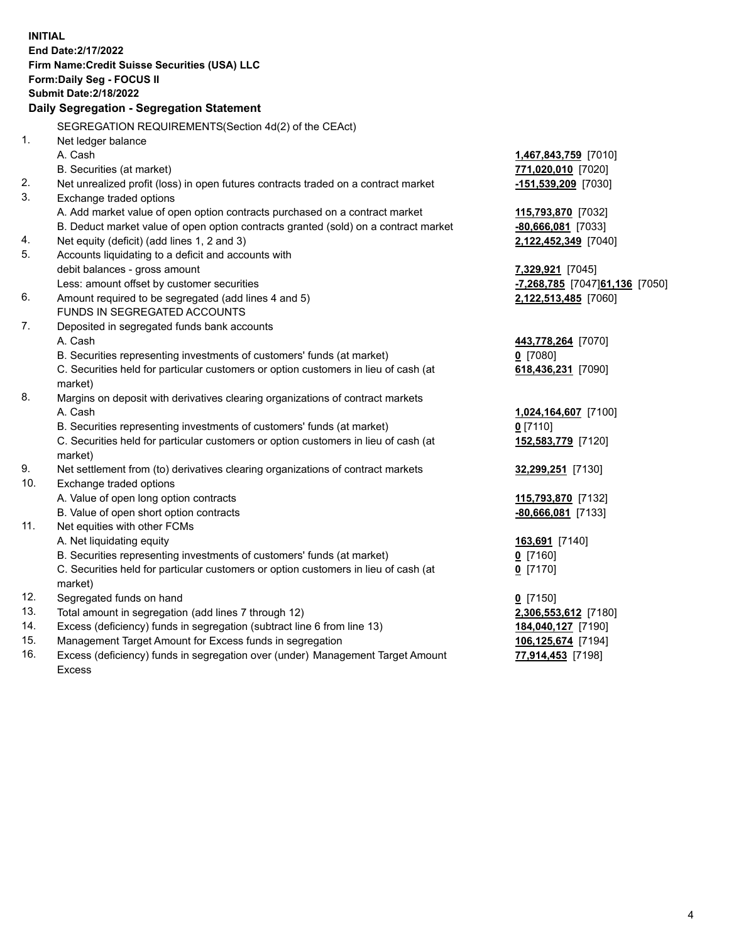15. Management Target Amount for Excess funds in segregation **106,125,674** [7194] 16. Excess (deficiency) funds in segregation over (under) Management Target Amount **77,914,453** [7198] **INITIAL End Date:2/17/2022 Firm Name:Credit Suisse Securities (USA) LLC Form:Daily Seg - FOCUS II Submit Date:2/18/2022 Daily Segregation - Segregation Statement**  SEGREGATION REQUIREMENTS(Section 4d(2) of the CEAct) 1. Net ledger balance A. Cash **1,467,843,759** [7010] B. Securities (at market) **771,020,010** [7020] 2. Net unrealized profit (loss) in open futures contracts traded on a contract market **-151,539,209** [7030] 3. Exchange traded options A. Add market value of open option contracts purchased on a contract market **115,793,870** [7032] B. Deduct market value of open option contracts granted (sold) on a contract market **-80,666,081** [7033] 4. Net equity (deficit) (add lines 1, 2 and 3) **2,122,452,349** [7040] 5. Accounts liquidating to a deficit and accounts with debit balances - gross amount **7,329,921** [7045] Less: amount offset by customer securities **and the securities -7,268,785** [7047] **61,136** [7050] 6. Amount required to be segregated (add lines 4 and 5) **2,122,513,485** [7060] FUNDS IN SEGREGATED ACCOUNTS 7. Deposited in segregated funds bank accounts A. Cash **443,778,264** [7070] B. Securities representing investments of customers' funds (at market) **0** [7080] C. Securities held for particular customers or option customers in lieu of cash (at **618,436,231** [7090] market) 8. Margins on deposit with derivatives clearing organizations of contract markets A. Cash **1,024,164,607** [7100] B. Securities representing investments of customers' funds (at market) **0** [7110] C. Securities held for particular customers or option customers in lieu of cash (at **152,583,779** [7120] market) 9. Net settlement from (to) derivatives clearing organizations of contract markets **32,299,251** [7130] 10. Exchange traded options A. Value of open long option contracts **115,793,870** [7132] B. Value of open short option contracts **-80,666,081** [7133] 11. Net equities with other FCMs A. Net liquidating equity **163,691** [7140] B. Securities representing investments of customers' funds (at market) **0** [7160] C. Securities held for particular customers or option customers in lieu of cash (at **0** [7170] market) 12. Segregated funds on hand **0** [7150] 13. Total amount in segregation (add lines 7 through 12) **2,306,553,612** [7180] 14. Excess (deficiency) funds in segregation (subtract line 6 from line 13) **184,040,127** [7190]

Excess